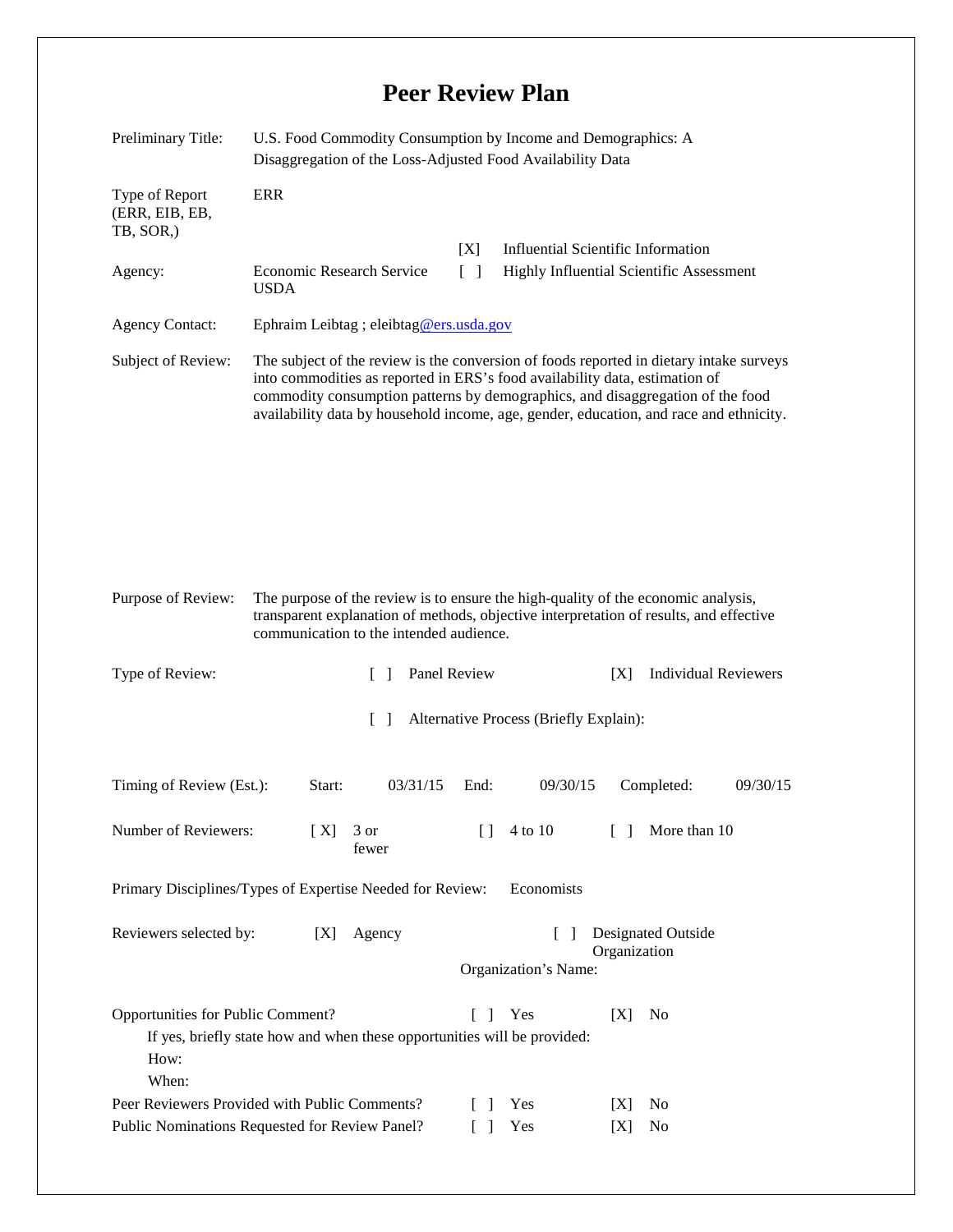## **Peer Review Plan**

| Preliminary Title:                                                                     | U.S. Food Commodity Consumption by Income and Demographics: A<br>Disaggregation of the Loss-Adjusted Food Availability Data                                                                                                                                                                                                                        |                   |                                      |                                           |          |
|----------------------------------------------------------------------------------------|----------------------------------------------------------------------------------------------------------------------------------------------------------------------------------------------------------------------------------------------------------------------------------------------------------------------------------------------------|-------------------|--------------------------------------|-------------------------------------------|----------|
| Type of Report<br>(ERR, EIB, EB,<br>TB, SOR,)                                          | <b>ERR</b>                                                                                                                                                                                                                                                                                                                                         |                   |                                      |                                           |          |
|                                                                                        |                                                                                                                                                                                                                                                                                                                                                    | [X]               |                                      | <b>Influential Scientific Information</b> |          |
| Agency:                                                                                | $\lceil \rceil$<br>Economic Research Service<br>Highly Influential Scientific Assessment<br><b>USDA</b>                                                                                                                                                                                                                                            |                   |                                      |                                           |          |
| <b>Agency Contact:</b>                                                                 | Ephraim Leibtag ; eleibtag@ers.usda.gov                                                                                                                                                                                                                                                                                                            |                   |                                      |                                           |          |
| Subject of Review:                                                                     | The subject of the review is the conversion of foods reported in dietary intake surveys<br>into commodities as reported in ERS's food availability data, estimation of<br>commodity consumption patterns by demographics, and disaggregation of the food<br>availability data by household income, age, gender, education, and race and ethnicity. |                   |                                      |                                           |          |
|                                                                                        |                                                                                                                                                                                                                                                                                                                                                    |                   |                                      |                                           |          |
| Purpose of Review:                                                                     | The purpose of the review is to ensure the high-quality of the economic analysis,<br>transparent explanation of methods, objective interpretation of results, and effective<br>communication to the intended audience.                                                                                                                             |                   |                                      |                                           |          |
| Type of Review:<br>Panel Review<br><b>Individual Reviewers</b><br>[X]<br>$\mathcal{L}$ |                                                                                                                                                                                                                                                                                                                                                    |                   |                                      |                                           |          |
| Alternative Process (Briefly Explain):<br>$\mathcal{L}$                                |                                                                                                                                                                                                                                                                                                                                                    |                   |                                      |                                           |          |
|                                                                                        |                                                                                                                                                                                                                                                                                                                                                    |                   |                                      |                                           |          |
| Timing of Review (Est.):                                                               | Start:                                                                                                                                                                                                                                                                                                                                             | 03/31/15<br>End:  | 09/30/15                             | Completed:                                | 09/30/15 |
| Number of Reviewers:                                                                   | 3 or<br>[X]<br>fewer                                                                                                                                                                                                                                                                                                                               | Ħ                 | 4 to 10                              | More than 10<br>$\Box$                    |          |
| Primary Disciplines/Types of Expertise Needed for Review:<br>Economists                |                                                                                                                                                                                                                                                                                                                                                    |                   |                                      |                                           |          |
| Reviewers selected by:                                                                 | Agency<br>[X]                                                                                                                                                                                                                                                                                                                                      |                   | $\mathbf{I}$<br>Organization's Name: | Designated Outside<br>Organization        |          |
| Opportunities for Public Comment?<br>How:<br>When:                                     | If yes, briefly state how and when these opportunities will be provided:                                                                                                                                                                                                                                                                           | L<br>$\mathbf{I}$ | Yes                                  | [X]<br>N <sub>0</sub>                     |          |
| Peer Reviewers Provided with Public Comments?                                          |                                                                                                                                                                                                                                                                                                                                                    |                   | Yes                                  | No<br>[X]                                 |          |
| Public Nominations Requested for Review Panel?                                         |                                                                                                                                                                                                                                                                                                                                                    |                   | Yes                                  | $\rm No$<br>[X]                           |          |